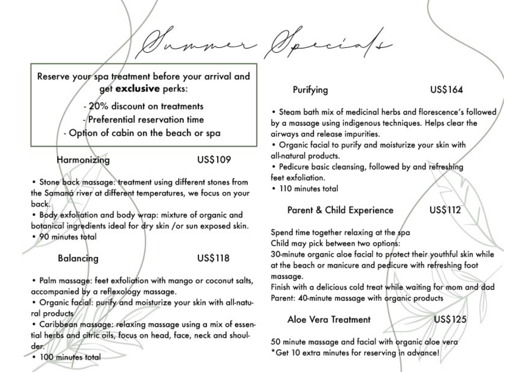Reserve your spa treatment before your arrival and get exclusive perks:

> - 20% discount on treatments -/Preferential reservation time

- Option of cabin on the beach or spa

# Harmonizing

## **US\$109**

. Stone back massage: treatment using different stones from the Samaná river at different temperatures, we focus on your back.

. Body exfoliation and body wrap: mixture of organic and botanical ingredients ideal for dry skin /or sun exposed skin.

· 90 minutes total

### Balancing

### **US\$118**

. Palm massage: feet exfoliation with mango or coconut salts, accompanied by a reflexology massage.

. Organic facial: purify and moisturize your skin with all-natural products/

· Caribbean massage: relaxing massage using a mix of essential herbs and citric oils, focus on head, face, neck and shoul-

# Purifying

# **US\$164**

• Steam bath mix of medicinal herbs and florescence's followed by a massage using indigenous techniques. Helps clear the airways and release impurities.

. Organic facial to purify and moisturize your skin with all-natural products.

. Pedicure basic cleansing, followed by and refreshing feet exfoliation.

• 110 minutes total

### **Parent & Child Experience**

**US\$112** 

Spend time together relaxing at the spa Child may pick between two options:

30-minute organic aloe facial to protect their youthful skin while at the beach or manicure and pedicure with refreshing foot massage.

Finish with a delicious cold treat while waiting for mom and dad Parent: 40-minute massage with organic products

# Aloe Vera Treatment

**US\$125** 

50 minute massage and facial with organic aloe vera \*Get 10 extra minutes for reserving in advance!

· 100 minutes total

der.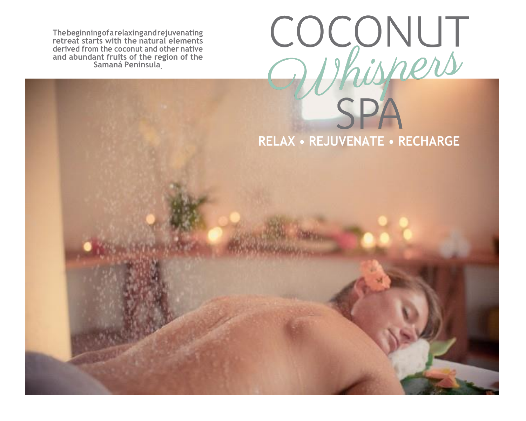**Thebeginningofarelaxingandrejuvenating retreat starts with the natural elements derived from the coconut and other native and abundant fruits of the region of the Samaná Peninsula.**

# COCONUT **SPA RELAX • REJUVENATE • RECHARGE**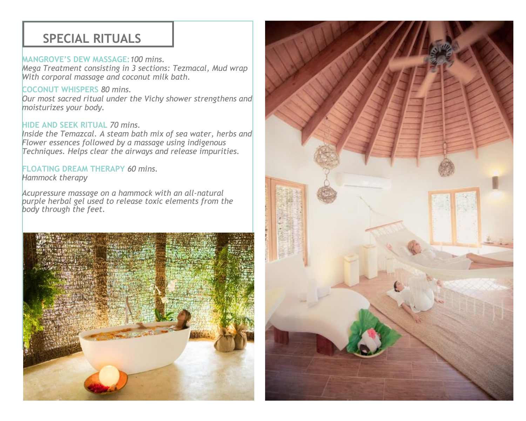# **SPECIAL RITUALS**

#### **MANGROVE'S DEW MASSAGE:***100 mins.*

*Mega Treatment consisting in 3 sections: Tezmacal, Mud wrap With corporal massage and coconut milk bath.* 

#### **COCONUT WHISPERS** *80 mins.*

*Our most sacred ritual under the Vichy shower strengthens and moisturizes your body.*

#### **HIDE AND SEEK RITUAL** *70 mins.*

*Inside the Temazcal. A steam bath mix of sea water, herbs and Flower essences followed by a massage using indigenous Techniques. Helps clear the airways and release impurities.*

#### **FLOATING DREAM THERAPY** *60 mins.*

*Hammock therapy*

*Acupressure massage on a hammock with an all-natural purple herbal gel used to release toxic elements from the body through the feet.*



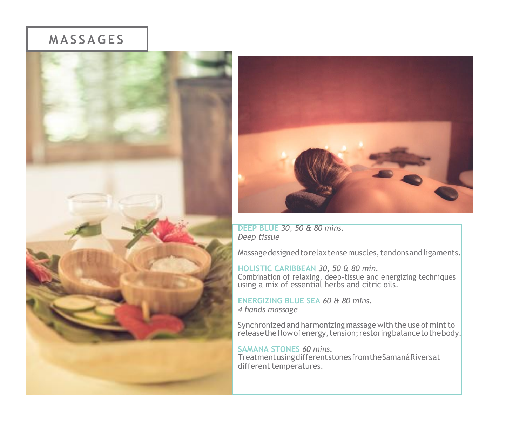# **M A S S A G E S**





**DEEP BLUE** *30, 50 & 80 mins. Deep tissue*

Massage designed to relax tense muscles, tendons and ligaments.

**HOLISTIC CARIBBEAN** *30, 50 & 80 min.* Combination of relaxing, deep-tissue and energizing techniques using a mix of essential herbs and citric oils.

**ENERGIZING BLUE SEA** *60 & 80 mins. 4 hands massage*

Synchronized and harmonizing massage with the use of mint to release the flow of energy, tension; restoring balance to the body.

#### **SAMANA STONES** *60 mins.*

TreatmentusingdifferentstonesfromtheSamanáRiversat different temperatures.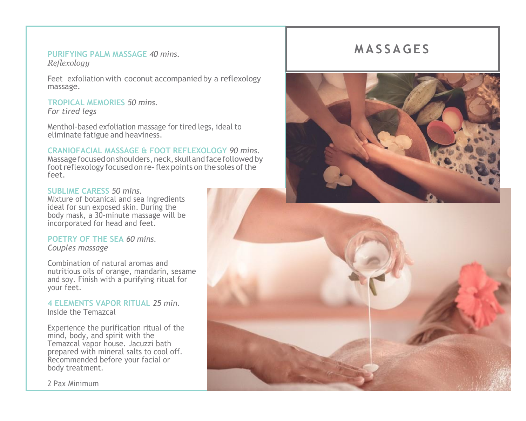#### **PURIFYING PALM MASSAGE** *40 mins. Reflexology*

Feet exfoliation with coconut accompanied by a reflexology massage.

#### **TROPICAL MEMORIES** *50 mins. For tired legs*

Menthol-based exfoliation massage for tired legs, ideal to eliminate fatigue and heaviness.

#### **CRANIOFACIAL MASSAGE & FOOT REFLEXOLOGY** *90 mins.*

Massage focused on shoulders, neck, skull and face followed by foot reflexology focused on re-flex points on the soles of the feet.

#### **SUBLIME CARESS** *50 mins.*

Mixture of botanical and sea ingredients ideal for sun exposed skin. During the body mask, a 30-minute massage will be incorporated for head and feet.

#### **POETRY OF THE SEA** *60 mins. Couples massage*

Combination of natural aromas and nutritious oils of orange, mandarin, sesame and soy. Finish with a purifying ritual for your feet.

#### **4 ELEMENTS VAPOR RITUAL** *25 min.* Inside the Temazcal

Experience the purification ritual of the mind, body, and spirit with the Temazcal vapor house. Jacuzzi bath prepared with mineral salts to cool off. Recommended before your facial or body treatment.

2 Pax Minimum

# **M A S S A G E S**

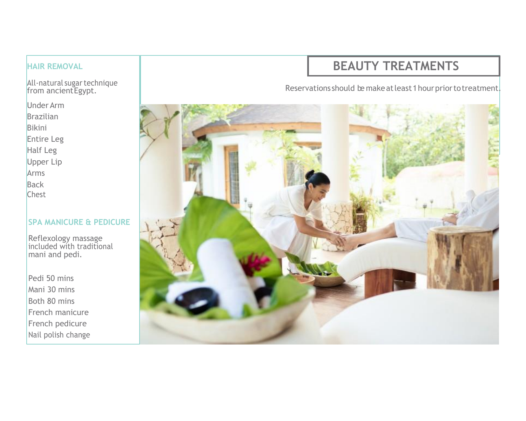#### **HAIR REMOVAL**

All-natural sugar technique from ancient Egypt.

Under Arm Brazilian Bikini Entire Leg

Half Leg

Upper Lip

Arms

**Back** 

Chest

#### **SPA MANICURE & PEDICURE**

Reflexology massage included with traditional mani and pedi.

Pedi 50 mins Mani 30 mins Both 80 mins French manicure French pedicure Nail polish change

# **BEAUTY TREATMENTS**

Reservations should be makeat least 1 hour prior to treatment.

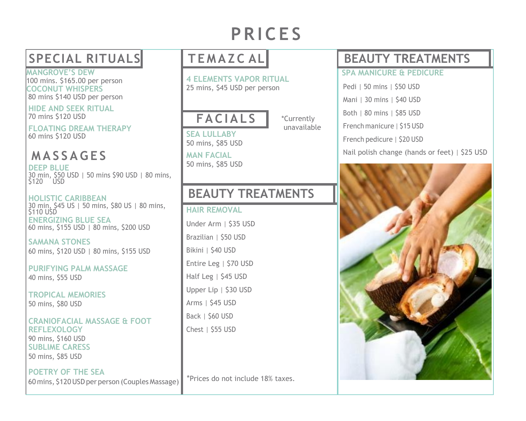# **P R I C E S**

**MANGROVE'S DEW** 100 mins. \$165.00 per person **COCONUT WHISPERS** 80 mins \$140 USD per person

**HIDE AND SEEK RITUAL** 70 mins \$120 USD

**FLOATING DREAM THERAPY** 60 mins \$120 USD

**M A S S A G E S DEEP BLUE** 

30 min, \$50 USD | 50 mins \$90 USD | 80 mins, \$120 USD

**HOLISTIC CARIBBEAN** 30 min, \$45 US | 50 mins, \$80 US | 80 mins, \$110 USD **ENERGIZING BLUE SEA** 60 mins, \$155 USD | 80 mins, \$200 USD

**SAMANA STONES** 60 mins, \$120 USD | 80 mins, \$155 USD

**PURIFYING PALM MASSAGE** 40 mins, \$55 USD

**TROPICAL MEMORIES** 50 mins, \$80 USD

#### **CRANIOFACIAL MASSAGE & FOOT REFLEXOLOGY** 90 mins, \$160 USD **SUBLIME CARESS** 50 mins, \$85 USD

**POETRY OF THE SEA** 60 mins, \$120USDper person (Couples Massage)

**4 ELEMENTS VAPOR RITUAL** 25 mins, \$45 USD per person

# **FA C I A L S**

**SEA LULLABY** 50 mins, \$85 USD

**MAN FACIAL** 50 mins, \$85 USD

# **BEAUTY TREATMENTS**

#### **HAIR REMOVAL**

Under Arm | \$35 USD Brazilian | \$50 USD Bikini | \$40 USD Entire Leg | \$70 USD Half Leg | \$45 USD Upper Lip | \$30 USD Arms | \$45 USD Back | \$60 USD Chest | \$55 USD

\*Prices do not include 18% taxes.

# **SPECIAL RITUALS T E M A Z C AL BEAUTY TREATMENTS**

#### **SPA MANICURE & PEDICURE**

- Pedi | 50 mins | \$50 USD
- Mani | 30 mins | \$40 USD
- Both | 80 mins | \$85 USD
- French manicure | \$15 USD

French pedicure | \$20 USD

Nail polish change (hands or feet) | \$25 USD



unavailable

\*Currently